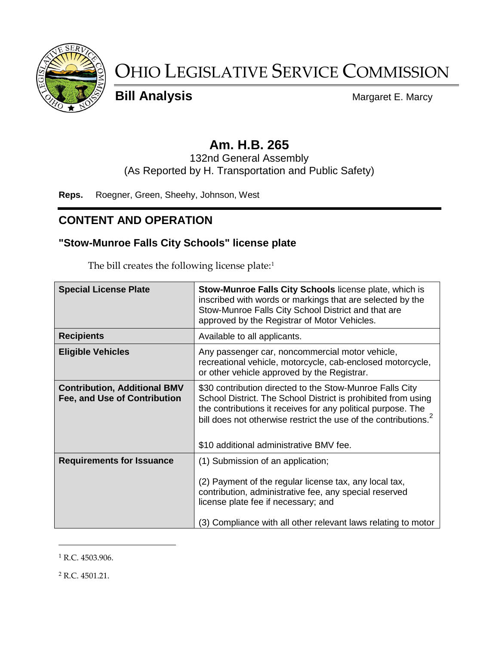

# OHIO LEGISLATIVE SERVICE COMMISSION

**Bill Analysis** Margaret E. Marcy

## **Am. H.B. 265**

132nd General Assembly (As Reported by H. Transportation and Public Safety)

**Reps.** Roegner, Green, Sheehy, Johnson, West

#### **CONTENT AND OPERATION**

#### **"Stow-Munroe Falls City Schools" license plate**

The bill creates the following license plate:<sup>1</sup>

| <b>Special License Plate</b>                                        | Stow-Munroe Falls City Schools license plate, which is<br>inscribed with words or markings that are selected by the<br>Stow-Munroe Falls City School District and that are<br>approved by the Registrar of Motor Vehicles.                                                                             |  |
|---------------------------------------------------------------------|--------------------------------------------------------------------------------------------------------------------------------------------------------------------------------------------------------------------------------------------------------------------------------------------------------|--|
| <b>Recipients</b>                                                   | Available to all applicants.                                                                                                                                                                                                                                                                           |  |
| <b>Eligible Vehicles</b>                                            | Any passenger car, noncommercial motor vehicle,<br>recreational vehicle, motorcycle, cab-enclosed motorcycle,<br>or other vehicle approved by the Registrar.                                                                                                                                           |  |
| <b>Contribution, Additional BMV</b><br>Fee, and Use of Contribution | \$30 contribution directed to the Stow-Munroe Falls City<br>School District. The School District is prohibited from using<br>the contributions it receives for any political purpose. The<br>bill does not otherwise restrict the use of the contributions.<br>\$10 additional administrative BMV fee. |  |
| <b>Requirements for Issuance</b>                                    | (1) Submission of an application;<br>(2) Payment of the regular license tax, any local tax,<br>contribution, administrative fee, any special reserved<br>license plate fee if necessary; and<br>(3) Compliance with all other relevant laws relating to motor                                          |  |

<sup>1</sup> R.C. 4503.906.

 $\overline{a}$ 

 $2$  R.C. 4501.21.